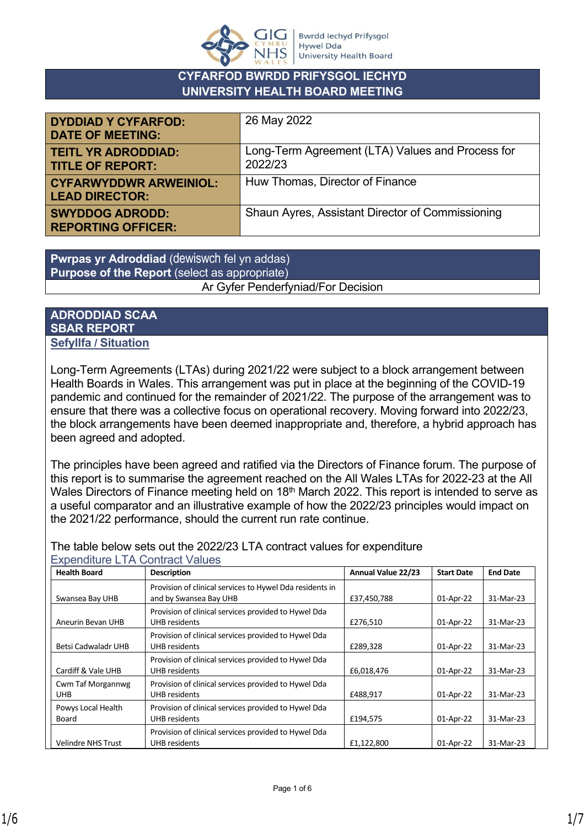

# **CYFARFOD BWRDD PRIFYSGOL IECHYD UNIVERSITY HEALTH BOARD MEETING**

| <b>DYDDIAD Y CYFARFOD:</b><br><b>DATE OF MEETING:</b>  | 26 May 2022                                                 |
|--------------------------------------------------------|-------------------------------------------------------------|
| <b>TEITL YR ADRODDIAD:</b><br><b>TITLE OF REPORT:</b>  | Long-Term Agreement (LTA) Values and Process for<br>2022/23 |
| <b>CYFARWYDDWR ARWEINIOL:</b><br><b>LEAD DIRECTOR:</b> | Huw Thomas, Director of Finance                             |
| <b>SWYDDOG ADRODD:</b><br><b>REPORTING OFFICER:</b>    | Shaun Ayres, Assistant Director of Commissioning            |

**Pwrpas yr Adroddiad** (dewiswch fel yn addas) **Purpose of the Report** (select as appropriate) Ar Gyfer Penderfyniad/For Decision

### **ADRODDIAD SCAA SBAR REPORT Sefyllfa / Situation**

Long-Term Agreements (LTAs) during 2021/22 were subject to a block arrangement between Health Boards in Wales. This arrangement was put in place at the beginning of the COVID-19 pandemic and continued for the remainder of 2021/22. The purpose of the arrangement was to ensure that there was a collective focus on operational recovery. Moving forward into 2022/23, the block arrangements have been deemed inappropriate and, therefore, a hybrid approach has been agreed and adopted.

The principles have been agreed and ratified via the Directors of Finance forum. The purpose of this report is to summarise the agreement reached on the All Wales LTAs for 2022-23 at the All Wales Directors of Finance meeting held on 18<sup>th</sup> March 2022. This report is intended to serve as a useful comparator and an illustrative example of how the 2022/23 principles would impact on the 2021/22 performance, should the current run rate continue.

The table below sets out the 2022/23 LTA contract values for expenditure Expenditure LTA Contract Values

| <b>Health Board</b>             | <b>Description</b>                                                                 | Annual Value 22/23 | <b>Start Date</b> | <b>End Date</b> |
|---------------------------------|------------------------------------------------------------------------------------|--------------------|-------------------|-----------------|
| Swansea Bay UHB                 | Provision of clinical services to Hywel Dda residents in<br>and by Swansea Bay UHB | £37,450,788        | 01-Apr-22         | 31-Mar-23       |
| Aneurin Bevan UHB               | Provision of clinical services provided to Hywel Dda<br>UHB residents              | £276.510           | 01-Apr-22         | 31-Mar-23       |
| Betsi Cadwaladr UHB             | Provision of clinical services provided to Hywel Dda<br>UHB residents              | £289,328           | 01-Apr-22         | 31-Mar-23       |
| Cardiff & Vale UHB              | Provision of clinical services provided to Hywel Dda<br>UHB residents              | £6,018,476         | 01-Apr-22         | 31-Mar-23       |
| Cwm Taf Morgannwg<br><b>UHB</b> | Provision of clinical services provided to Hywel Dda<br><b>UHB</b> residents       | £488,917           | 01-Apr-22         | 31-Mar-23       |
| Powys Local Health<br>Board     | Provision of clinical services provided to Hywel Dda<br>UHB residents              | £194,575           | 01-Apr-22         | 31-Mar-23       |
| <b>Velindre NHS Trust</b>       | Provision of clinical services provided to Hywel Dda<br>UHB residents              | £1,122,800         | 01-Apr-22         | 31-Mar-23       |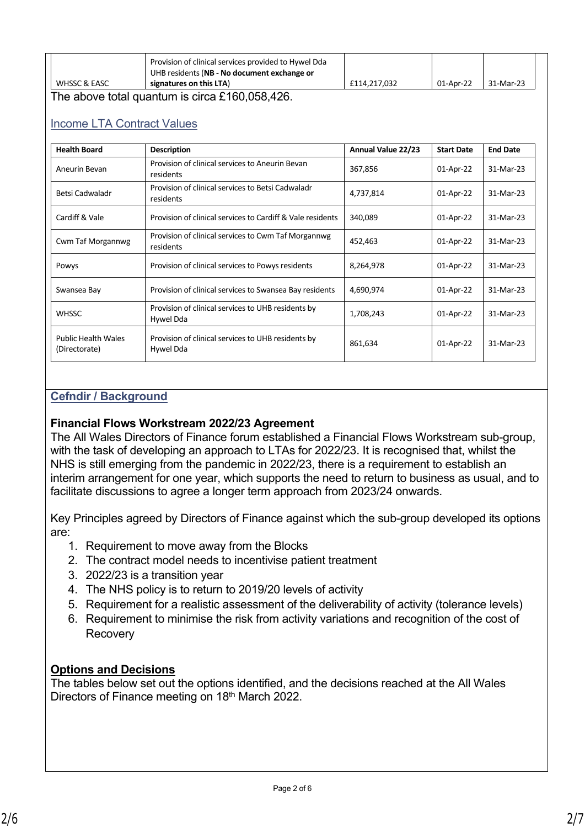|                         | Provision of clinical services provided to Hywel Dda<br>UHB residents (NB - No document exchange or |              |           |           |
|-------------------------|-----------------------------------------------------------------------------------------------------|--------------|-----------|-----------|
| <b>WHSSC &amp; EASC</b> | signatures on this LTA)                                                                             | £114.217.032 | 01-Apr-22 | 31-Mar-23 |

The above total quantum is circa £160,058,426.

## Income LTA Contract Values

| <b>Health Board</b>                         | <b>Description</b>                                               | Annual Value 22/23 | <b>Start Date</b> | <b>End Date</b> |
|---------------------------------------------|------------------------------------------------------------------|--------------------|-------------------|-----------------|
| Aneurin Bevan                               | Provision of clinical services to Aneurin Bevan<br>residents     | 367,856            | 01-Apr-22         | 31-Mar-23       |
| Betsi Cadwaladr                             | Provision of clinical services to Betsi Cadwaladr<br>residents   | 4,737,814          | 01-Apr-22         | 31-Mar-23       |
| Cardiff & Vale                              | Provision of clinical services to Cardiff & Vale residents       | 340,089            | 01-Apr-22         | 31-Mar-23       |
| Cwm Taf Morgannwg                           | Provision of clinical services to Cwm Taf Morgannwg<br>residents | 452,463            | 01-Apr-22         | 31-Mar-23       |
| Powys                                       | Provision of clinical services to Powys residents                | 8,264,978          | 01-Apr-22         | 31-Mar-23       |
| Swansea Bay                                 | Provision of clinical services to Swansea Bay residents          | 4,690,974          | 01-Apr-22         | 31-Mar-23       |
| <b>WHSSC</b>                                | Provision of clinical services to UHB residents by<br>Hywel Dda  | 1,708,243          | 01-Apr-22         | 31-Mar-23       |
| <b>Public Health Wales</b><br>(Directorate) | Provision of clinical services to UHB residents by<br>Hywel Dda  | 861,634            | 01-Apr-22         | 31-Mar-23       |

## **Cefndir / Background**

### **Financial Flows Workstream 2022/23 Agreement**

The All Wales Directors of Finance forum established a Financial Flows Workstream sub-group, with the task of developing an approach to LTAs for 2022/23. It is recognised that, whilst the NHS is still emerging from the pandemic in 2022/23, there is a requirement to establish an interim arrangement for one year, which supports the need to return to business as usual, and to facilitate discussions to agree a longer term approach from 2023/24 onwards.

Key Principles agreed by Directors of Finance against which the sub-group developed its options are:

- 1. Requirement to move away from the Blocks
- 2. The contract model needs to incentivise patient treatment
- 3. 2022/23 is a transition year
- 4. The NHS policy is to return to 2019/20 levels of activity
- 5. Requirement for a realistic assessment of the deliverability of activity (tolerance levels)
- 6. Requirement to minimise the risk from activity variations and recognition of the cost of **Recovery**

### **Options and Decisions**

The tables below set out the options identified, and the decisions reached at the All Wales Directors of Finance meeting on 18<sup>th</sup> March 2022.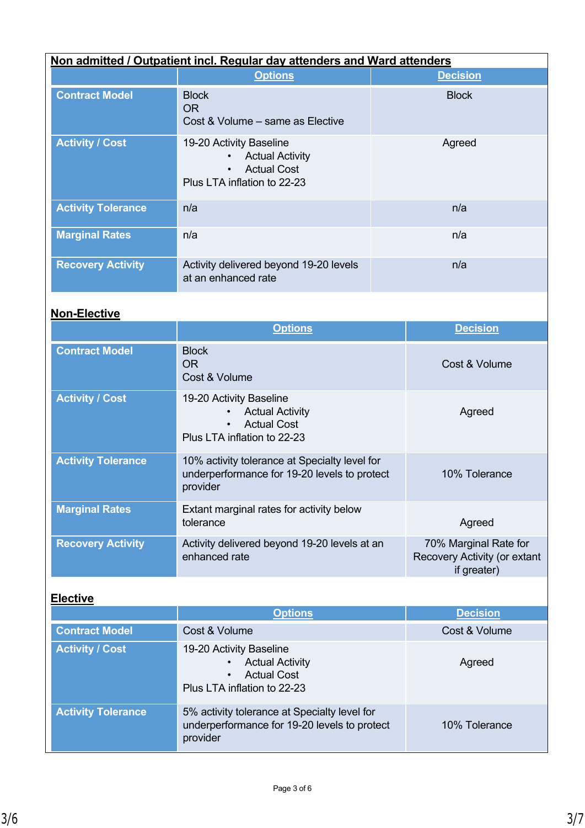| Non admitted / Outpatient incl. Regular day attenders and Ward attenders |                                                                                                                                  |                 |
|--------------------------------------------------------------------------|----------------------------------------------------------------------------------------------------------------------------------|-----------------|
|                                                                          | <b>Options</b>                                                                                                                   | <b>Decision</b> |
| <b>Contract Model</b>                                                    | <b>Block</b><br>OR.<br>Cost & Volume – same as Elective                                                                          | <b>Block</b>    |
| <b>Activity / Cost</b>                                                   | 19-20 Activity Baseline<br><b>Actual Activity</b><br>$\bullet$<br><b>Actual Cost</b><br>$\bullet$<br>Plus LTA inflation to 22-23 | Agreed          |
| <b>Activity Tolerance</b>                                                | n/a                                                                                                                              | n/a             |
| <b>Marginal Rates</b>                                                    | n/a                                                                                                                              | n/a             |
| <b>Recovery Activity</b>                                                 | Activity delivered beyond 19-20 levels<br>at an enhanced rate                                                                    | n/a             |

# **Non-Elective**

|                           | <b>Options</b>                                                                                                                   | <b>Decision</b>                                                      |
|---------------------------|----------------------------------------------------------------------------------------------------------------------------------|----------------------------------------------------------------------|
| <b>Contract Model</b>     | <b>Block</b><br><b>OR</b><br>Cost & Volume                                                                                       | Cost & Volume                                                        |
| <b>Activity / Cost</b>    | 19-20 Activity Baseline<br><b>Actual Activity</b><br>$\bullet$<br><b>Actual Cost</b><br>$\bullet$<br>Plus LTA inflation to 22-23 | Agreed                                                               |
| <b>Activity Tolerance</b> | 10% activity tolerance at Specialty level for<br>underperformance for 19-20 levels to protect<br>provider                        | 10% Tolerance                                                        |
| <b>Marginal Rates</b>     | Extant marginal rates for activity below<br>tolerance                                                                            | Agreed                                                               |
| <b>Recovery Activity</b>  | Activity delivered beyond 19-20 levels at an<br>enhanced rate                                                                    | 70% Marginal Rate for<br>Recovery Activity (or extant<br>if greater) |

# **Elective**

|                           | <b>Options</b>                                                                                                      | <b>Decision</b> |
|---------------------------|---------------------------------------------------------------------------------------------------------------------|-----------------|
| <b>Contract Model</b>     | Cost & Volume                                                                                                       | Cost & Volume   |
| <b>Activity / Cost</b>    | 19-20 Activity Baseline<br><b>Actual Activity</b><br><b>Actual Cost</b><br>$\bullet$<br>Plus LTA inflation to 22-23 | Agreed          |
| <b>Activity Tolerance</b> | 5% activity tolerance at Specialty level for<br>underperformance for 19-20 levels to protect<br>provider            | 10% Tolerance   |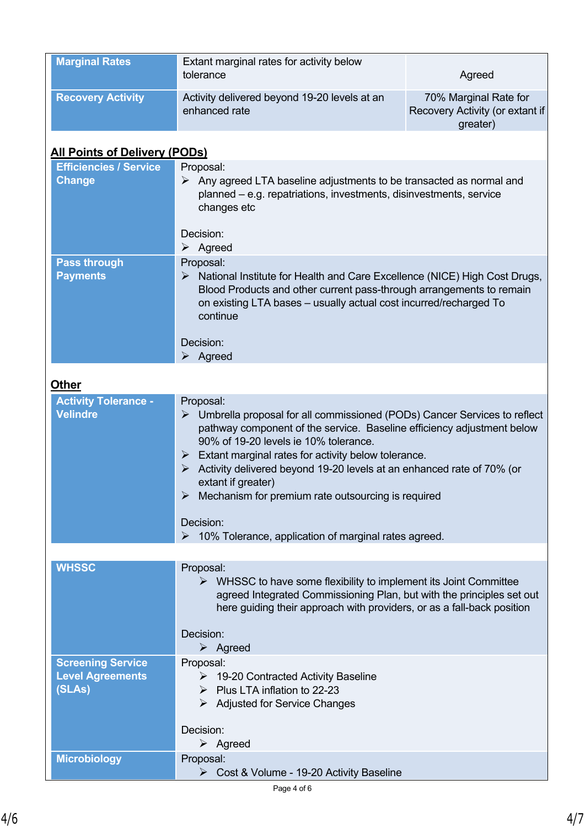| <b>Marginal Rates</b>                                         | Extant marginal rates for activity below<br>tolerance<br>Agreed                                                                                                                                                                                                                                                                                                                                                                                                  |                                                                      |  |
|---------------------------------------------------------------|------------------------------------------------------------------------------------------------------------------------------------------------------------------------------------------------------------------------------------------------------------------------------------------------------------------------------------------------------------------------------------------------------------------------------------------------------------------|----------------------------------------------------------------------|--|
| <b>Recovery Activity</b>                                      | Activity delivered beyond 19-20 levels at an<br>enhanced rate                                                                                                                                                                                                                                                                                                                                                                                                    | 70% Marginal Rate for<br>Recovery Activity (or extant if<br>greater) |  |
| <b>All Points of Delivery (PODs)</b>                          |                                                                                                                                                                                                                                                                                                                                                                                                                                                                  |                                                                      |  |
| <b>Efficiencies / Service</b><br><b>Change</b>                | Proposal:<br>$\triangleright$ Any agreed LTA baseline adjustments to be transacted as normal and<br>planned – e.g. repatriations, investments, disinvestments, service<br>changes etc                                                                                                                                                                                                                                                                            |                                                                      |  |
|                                                               | Decision:<br>$\triangleright$ Agreed                                                                                                                                                                                                                                                                                                                                                                                                                             |                                                                      |  |
| <b>Pass through</b><br><b>Payments</b>                        | Proposal:<br>$\triangleright$ National Institute for Health and Care Excellence (NICE) High Cost Drugs,<br>Blood Products and other current pass-through arrangements to remain<br>on existing LTA bases - usually actual cost incurred/recharged To<br>continue                                                                                                                                                                                                 |                                                                      |  |
|                                                               | Decision:<br>$\triangleright$ Agreed                                                                                                                                                                                                                                                                                                                                                                                                                             |                                                                      |  |
| <b>Other</b>                                                  |                                                                                                                                                                                                                                                                                                                                                                                                                                                                  |                                                                      |  |
| <b>Activity Tolerance -</b><br><b>Velindre</b>                | Proposal:<br>$\triangleright$ Umbrella proposal for all commissioned (PODs) Cancer Services to reflect<br>pathway component of the service. Baseline efficiency adjustment below<br>90% of 19-20 levels ie 10% tolerance.<br>$\triangleright$ Extant marginal rates for activity below tolerance.<br>Activity delivered beyond 19-20 levels at an enhanced rate of 70% (or<br>➤<br>extant if greater)<br>Mechanism for premium rate outsourcing is required<br>➤ |                                                                      |  |
|                                                               | Decision:<br>10% Tolerance, application of marginal rates agreed.<br>➤                                                                                                                                                                                                                                                                                                                                                                                           |                                                                      |  |
| <b>WHSSC</b>                                                  | Proposal:<br>$\triangleright$ WHSSC to have some flexibility to implement its Joint Committee<br>agreed Integrated Commissioning Plan, but with the principles set out<br>here guiding their approach with providers, or as a fall-back position                                                                                                                                                                                                                 |                                                                      |  |
|                                                               | Decision:<br>$\triangleright$ Agreed                                                                                                                                                                                                                                                                                                                                                                                                                             |                                                                      |  |
| <b>Screening Service</b><br><b>Level Agreements</b><br>(SLAs) | Proposal:<br>$\triangleright$ 19-20 Contracted Activity Baseline<br>$\triangleright$ Plus LTA inflation to 22-23<br>$\triangleright$ Adjusted for Service Changes                                                                                                                                                                                                                                                                                                |                                                                      |  |
|                                                               | Decision:<br>$\triangleright$ Agreed                                                                                                                                                                                                                                                                                                                                                                                                                             |                                                                      |  |
| <b>Microbiology</b>                                           | Proposal:<br>▶ Cost & Volume - 19-20 Activity Baseline                                                                                                                                                                                                                                                                                                                                                                                                           |                                                                      |  |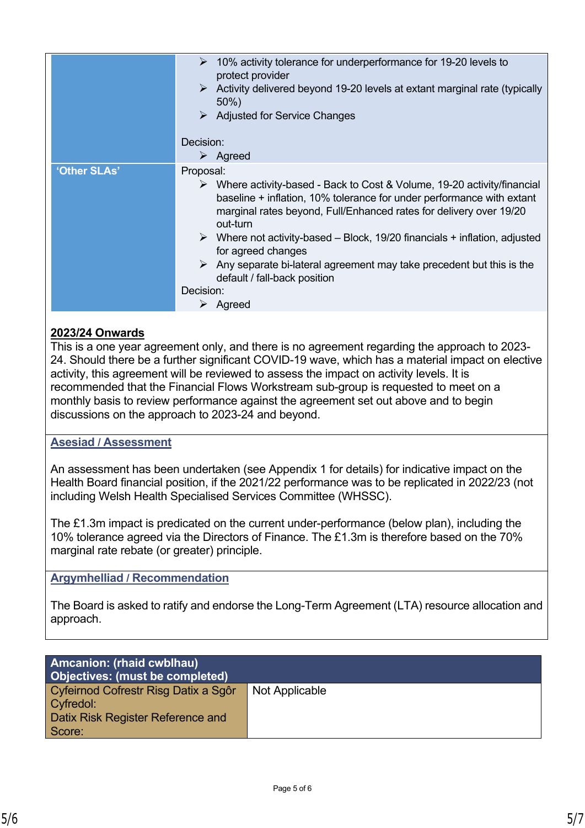|              | $\geq$ 10% activity tolerance for underperformance for 19-20 levels to<br>protect provider<br>$\triangleright$ Activity delivered beyond 19-20 levels at extant marginal rate (typically<br>50%)<br>$\triangleright$ Adjusted for Service Changes<br>Decision:                                                                                                                                                                                                                                                                     |
|--------------|------------------------------------------------------------------------------------------------------------------------------------------------------------------------------------------------------------------------------------------------------------------------------------------------------------------------------------------------------------------------------------------------------------------------------------------------------------------------------------------------------------------------------------|
|              |                                                                                                                                                                                                                                                                                                                                                                                                                                                                                                                                    |
|              | $\triangleright$ Agreed                                                                                                                                                                                                                                                                                                                                                                                                                                                                                                            |
| 'Other SLAs' | Proposal:<br>$\triangleright$ Where activity-based - Back to Cost & Volume, 19-20 activity/financial<br>baseline + inflation, 10% tolerance for under performance with extant<br>marginal rates beyond, Full/Enhanced rates for delivery over 19/20<br>out-turn<br>$\triangleright$ Where not activity-based – Block, 19/20 financials + inflation, adjusted<br>for agreed changes<br>$\triangleright$ Any separate bi-lateral agreement may take precedent but this is the<br>default / fall-back position<br>Decision:<br>Agreed |

# **2023/24 Onwards**

This is a one year agreement only, and there is no agreement regarding the approach to 2023- 24. Should there be a further significant COVID-19 wave, which has a material impact on elective activity, this agreement will be reviewed to assess the impact on activity levels. It is recommended that the Financial Flows Workstream sub-group is requested to meet on a monthly basis to review performance against the agreement set out above and to begin discussions on the approach to 2023-24 and beyond.

## **Asesiad / Assessment**

An assessment has been undertaken (see Appendix 1 for details) for indicative impact on the Health Board financial position, if the 2021/22 performance was to be replicated in 2022/23 (not including Welsh Health Specialised Services Committee (WHSSC).

The £1.3m impact is predicated on the current under-performance (below plan), including the 10% tolerance agreed via the Directors of Finance. The £1.3m is therefore based on the 70% marginal rate rebate (or greater) principle.

### **Argymhelliad / Recommendation**

The Board is asked to ratify and endorse the Long-Term Agreement (LTA) resource allocation and approach.

| <b>Amcanion: (rhaid cwblhau)</b><br>Objectives: (must be completed) |                |
|---------------------------------------------------------------------|----------------|
| Cyfeirnod Cofrestr Risg Datix a Sgôr                                | Not Applicable |
| Cyfredol:                                                           |                |
| Datix Risk Register Reference and                                   |                |
| Score:                                                              |                |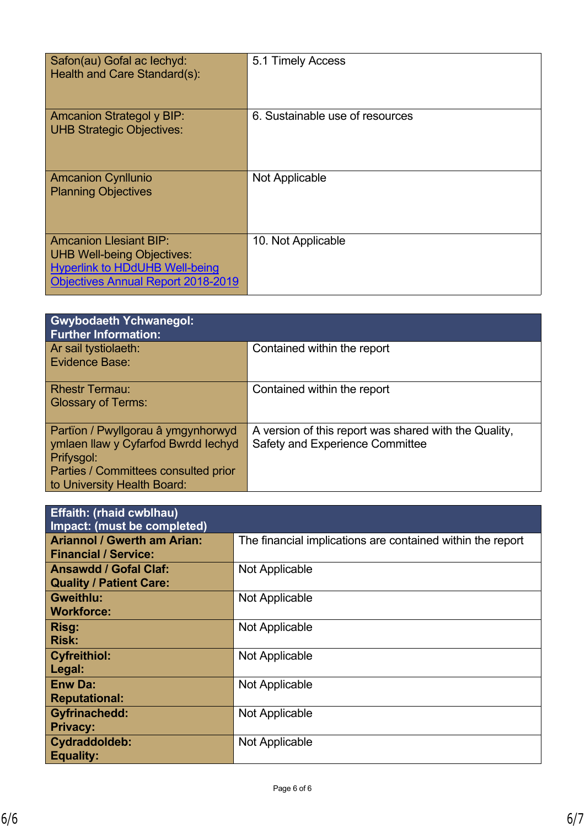| Safon(au) Gofal ac lechyd:<br>Health and Care Standard(s):                                                                                               | 5.1 Timely Access               |
|----------------------------------------------------------------------------------------------------------------------------------------------------------|---------------------------------|
| <b>Amcanion Strategol y BIP:</b><br><b>UHB Strategic Objectives:</b>                                                                                     | 6. Sustainable use of resources |
| <b>Amcanion Cynllunio</b><br><b>Planning Objectives</b>                                                                                                  | Not Applicable                  |
| <b>Amcanion Llesiant BIP:</b><br><b>UHB Well-being Objectives:</b><br><b>Hyperlink to HDdUHB Well-being</b><br><b>Objectives Annual Report 2018-2019</b> | 10. Not Applicable              |

| <b>Gwybodaeth Ychwanegol:</b><br><b>Further Information:</b>                                                                                                   |                                                                                                 |
|----------------------------------------------------------------------------------------------------------------------------------------------------------------|-------------------------------------------------------------------------------------------------|
| Ar sail tystiolaeth:<br>Evidence Base:                                                                                                                         | Contained within the report                                                                     |
| <b>Rhestr Termau:</b><br><b>Glossary of Terms:</b>                                                                                                             | Contained within the report                                                                     |
| Partïon / Pwyllgorau â ymgynhorwyd<br>ymlaen llaw y Cyfarfod Bwrdd Iechyd<br>Prifysgol:<br>Parties / Committees consulted prior<br>to University Health Board: | A version of this report was shared with the Quality,<br><b>Safety and Experience Committee</b> |

| <b>Effaith: (rhaid cwblhau)</b><br>Impact: (must be completed)    |                                                            |  |  |
|-------------------------------------------------------------------|------------------------------------------------------------|--|--|
| <b>Ariannol / Gwerth am Arian:</b><br><b>Financial / Service:</b> | The financial implications are contained within the report |  |  |
| <b>Ansawdd / Gofal Claf:</b><br><b>Quality / Patient Care:</b>    | Not Applicable                                             |  |  |
| Gweithlu:<br><b>Workforce:</b>                                    | Not Applicable                                             |  |  |
| Risg:<br><b>Risk:</b>                                             | Not Applicable                                             |  |  |
| <b>Cyfreithiol:</b><br>Legal:                                     | Not Applicable                                             |  |  |
| <b>Enw Da:</b><br><b>Reputational:</b>                            | Not Applicable                                             |  |  |
| <b>Gyfrinachedd:</b><br><b>Privacy:</b>                           | Not Applicable                                             |  |  |
| Cydraddoldeb:<br><b>Equality:</b>                                 | Not Applicable                                             |  |  |